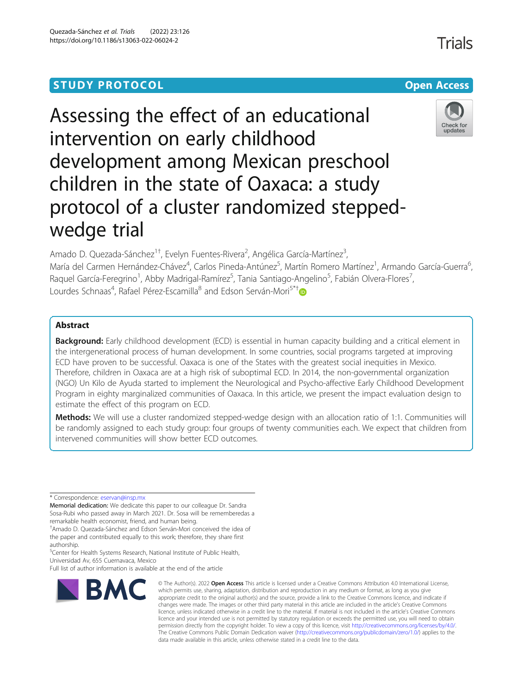# **STUDY PROTOCOL CONSUMING THE RESERVE ACCESS**

# Assessing the effect of an educational intervention on early childhood development among Mexican preschool children in the state of Oaxaca: a study protocol of a cluster randomized steppedwedge trial

Amado D. Quezada-Sánchez<sup>1†</sup>, Evelyn Fuentes-Rivera<sup>2</sup>, Angélica García-Martínez<sup>3</sup> , María del Carmen Hernández-Chávez<sup>4</sup>, Carlos Pineda-Antúnez<sup>5</sup>, Martín Romero Martínez<sup>1</sup>, Armando García-Guerra<sup>6</sup> , Raquel García-Feregrino<sup>1</sup>, Abby Madrigal-Ramírez<sup>5</sup>, Tania Santiago-Angelino<sup>5</sup>, Fabián Olvera-Flores<sup>7</sup> , Lourdes Schnaas<sup>4</sup>, Rafael Pérez-Escamilla<sup>8</sup> and Edson Serván-Mori<sup>5\*[†](http://orcid.org/0000-0001-9820-8325)</sup>

# Abstract

Background: Early childhood development (ECD) is essential in human capacity building and a critical element in the intergenerational process of human development. In some countries, social programs targeted at improving ECD have proven to be successful. Oaxaca is one of the States with the greatest social inequities in Mexico. Therefore, children in Oaxaca are at a high risk of suboptimal ECD. In 2014, the non-governmental organization (NGO) Un Kilo de Ayuda started to implement the Neurological and Psycho-affective Early Childhood Development Program in eighty marginalized communities of Oaxaca. In this article, we present the impact evaluation design to estimate the effect of this program on ECD.

Methods: We will use a cluster randomized stepped-wedge design with an allocation ratio of 1:1. Communities will be randomly assigned to each study group: four groups of twenty communities each. We expect that children from intervened communities will show better ECD outcomes.

\* Correspondence: [eservan@insp.mx](mailto:eservan@insp.mx)

Memorial dedication: We dedicate this paper to our colleague Dr. Sandra Sosa-Rubi who passed away in March 2021. Dr. Sosa will be rememberedas a remarkable health economist, friend, and human being.

† Amado D. Quezada-Sánchez and Edson Serván-Mori conceived the idea of the paper and contributed equally to this work; therefore, they share first authorship.

<sup>5</sup> Center for Health Systems Research, National Institute of Public Health, Universidad Av, 655 Cuernavaca, Mexico

Full list of author information is available at the end of the article

## Quezada-Sánchez et al. Trials (2022) 23:126 https://doi.org/10.1186/s13063-022-06024-2



© The Author(s), 2022 **Open Access** This article is licensed under a Creative Commons Attribution 4.0 International License, which permits use, sharing, adaptation, distribution and reproduction in any medium or format, as long as you give appropriate credit to the original author(s) and the source, provide a link to the Creative Commons licence, and indicate if changes were made. The images or other third party material in this article are included in the article's Creative Commons licence, unless indicated otherwise in a credit line to the material. If material is not included in the article's Creative Commons licence and your intended use is not permitted by statutory regulation or exceeds the permitted use, you will need to obtain permission directly from the copyright holder. To view a copy of this licence, visit [http://creativecommons.org/licenses/by/4.0/.](http://creativecommons.org/licenses/by/4.0/) The Creative Commons Public Domain Dedication waiver [\(http://creativecommons.org/publicdomain/zero/1.0/](http://creativecommons.org/publicdomain/zero/1.0/)) applies to the data made available in this article, unless otherwise stated in a credit line to the data.



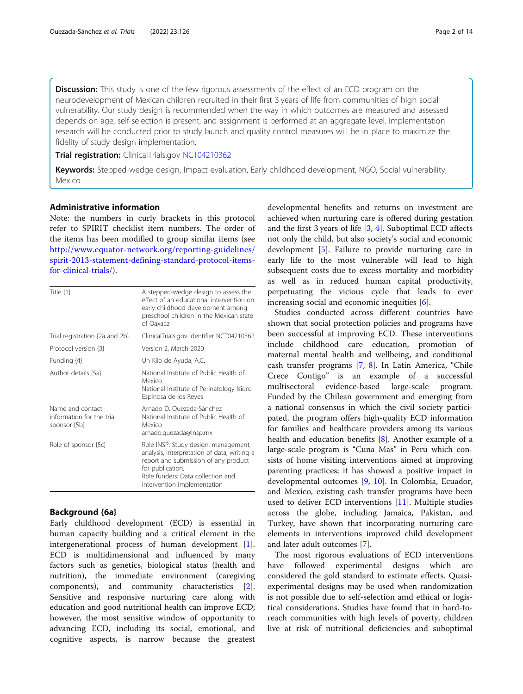**Discussion:** This study is one of the few rigorous assessments of the effect of an ECD program on the neurodevelopment of Mexican children recruited in their first 3 years of life from communities of high social vulnerability. Our study design is recommended when the way in which outcomes are measured and assessed depends on age, self-selection is present, and assignment is performed at an aggregate level. Implementation research will be conducted prior to study launch and quality control measures will be in place to maximize the fidelity of study design implementation.

Trial registration: ClinicalTrials.gov [NCT04210362](https://clinicaltrials.gov/ct2/show/study/NCT04210362)

Keywords: Stepped-wedge design, Impact evaluation, Early childhood development, NGO, Social vulnerability, Mexico

## Administrative information

Note: the numbers in curly brackets in this protocol refer to SPIRIT checklist item numbers. The order of the items has been modified to group similar items (see [http://www.equator-network.org/reporting-guidelines/](http://www.equator-network.org/reporting-guidelines/spirit-2013-statement-defining-standard-protocol-items-for-clinical-trials/) [spirit-2013-statement-defining-standard-protocol-items](http://www.equator-network.org/reporting-guidelines/spirit-2013-statement-defining-standard-protocol-items-for-clinical-trials/)[for-clinical-trials/](http://www.equator-network.org/reporting-guidelines/spirit-2013-statement-defining-standard-protocol-items-for-clinical-trials/)).

| Title $\{1\}$                                                 | A stepped-wedge design to assess the<br>effect of an educational intervention on<br>early childhood development among<br>preschool children in the Mexican state<br>of Oaxaca                                       |
|---------------------------------------------------------------|---------------------------------------------------------------------------------------------------------------------------------------------------------------------------------------------------------------------|
| Trial registration {2a and 2b}.                               | ClinicalTrials.gov Identifier NCT04210362                                                                                                                                                                           |
| Protocol version {3}                                          | Version 2, March 2020                                                                                                                                                                                               |
| Funding {4}                                                   | Un Kilo de Ayuda, A.C.                                                                                                                                                                                              |
| Author details {5a}                                           | National Institute of Public Health of<br>Mexico<br>National Institute of Perinatology Isidro<br>Espinosa de los Reyes                                                                                              |
| Name and contact<br>information for the trial<br>sponsor {5b} | Amado D. Quezada-Sánchez<br>National Institute of Public Health of<br>Mexico<br>amado.quezada@insp.mx                                                                                                               |
| Role of sponsor {5c}                                          | Role INSP: Study design, management,<br>analysis, interpretation of data, writing a<br>report and submission of any product<br>for publication.<br>Role funders: Data collection and<br>intervention implementation |

## Background {6a}

Early childhood development (ECD) is essential in human capacity building and a critical element in the intergenerational process of human development [\[1](#page-12-0)]. ECD is multidimensional and influenced by many factors such as genetics, biological status (health and nutrition), the immediate environment (caregiving components), and community characteristics [\[2](#page-12-0)]. Sensitive and responsive nurturing care along with education and good nutritional health can improve ECD; however, the most sensitive window of opportunity to advancing ECD, including its social, emotional, and cognitive aspects, is narrow because the greatest

developmental benefits and returns on investment are achieved when nurturing care is offered during gestation and the first 3 years of life [[3](#page-12-0), [4\]](#page-12-0). Suboptimal ECD affects not only the child, but also society's social and economic development [[5\]](#page-12-0). Failure to provide nurturing care in early life to the most vulnerable will lead to high subsequent costs due to excess mortality and morbidity as well as in reduced human capital productivity, perpetuating the vicious cycle that leads to ever increasing social and economic inequities [[6\]](#page-12-0).

Studies conducted across different countries have shown that social protection policies and programs have been successful at improving ECD. These interventions include childhood care education, promotion of maternal mental health and wellbeing, and conditional cash transfer programs [[7,](#page-12-0) [8\]](#page-12-0). In Latin America, "Chile Crece Contigo" is an example of a successful multisectoral evidence-based large-scale program. Funded by the Chilean government and emerging from a national consensus in which the civil society participated, the program offers high-quality ECD information for families and healthcare providers among its various health and education benefits [[8\]](#page-12-0). Another example of a large-scale program is "Cuna Mas" in Peru which consists of home visiting interventions aimed at improving parenting practices; it has showed a positive impact in developmental outcomes [[9,](#page-12-0) [10](#page-12-0)]. In Colombia, Ecuador, and Mexico, existing cash transfer programs have been used to deliver ECD interventions [\[11\]](#page-12-0). Multiple studies across the globe, including Jamaica, Pakistan, and Turkey, have shown that incorporating nurturing care elements in interventions improved child development and later adult outcomes [[7\]](#page-12-0).

The most rigorous evaluations of ECD interventions have followed experimental designs which are considered the gold standard to estimate effects. Quasiexperimental designs may be used when randomization is not possible due to self-selection amd ethical or logistical considerations. Studies have found that in hard-toreach communities with high levels of poverty, children live at risk of nutritional deficiencies and suboptimal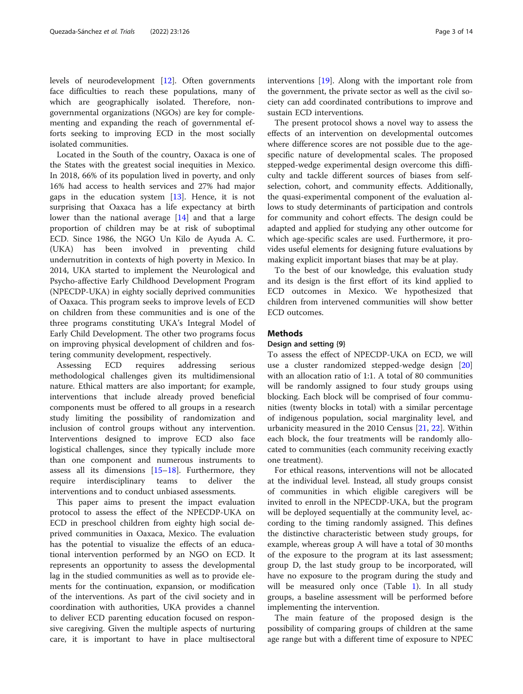levels of neurodevelopment [\[12\]](#page-12-0). Often governments face difficulties to reach these populations, many of which are geographically isolated. Therefore, nongovernmental organizations (NGOs) are key for complementing and expanding the reach of governmental efforts seeking to improving ECD in the most socially isolated communities.

Located in the South of the country, Oaxaca is one of the States with the greatest social inequities in Mexico. In 2018, 66% of its population lived in poverty, and only 16% had access to health services and 27% had major gaps in the education system [[13\]](#page-12-0). Hence, it is not surprising that Oaxaca has a life expectancy at birth lower than the national average [\[14](#page-13-0)] and that a large proportion of children may be at risk of suboptimal ECD. Since 1986, the NGO Un Kilo de Ayuda A. C. (UKA) has been involved in preventing child undernutrition in contexts of high poverty in Mexico. In 2014, UKA started to implement the Neurological and Psycho-affective Early Childhood Development Program (NPECDP-UKA) in eighty socially deprived communities of Oaxaca. This program seeks to improve levels of ECD on children from these communities and is one of the three programs constituting UKA's Integral Model of Early Child Development. The other two programs focus on improving physical development of children and fostering community development, respectively.

Assessing ECD requires addressing serious methodological challenges given its multidimensional nature. Ethical matters are also important; for example, interventions that include already proved beneficial components must be offered to all groups in a research study limiting the possibility of randomization and inclusion of control groups without any intervention. Interventions designed to improve ECD also face logistical challenges, since they typically include more than one component and numerous instruments to assess all its dimensions [\[15](#page-13-0)–[18\]](#page-13-0). Furthermore, they require interdisciplinary teams to deliver the interventions and to conduct unbiased assessments.

This paper aims to present the impact evaluation protocol to assess the effect of the NPECDP-UKA on ECD in preschool children from eighty high social deprived communities in Oaxaca, Mexico. The evaluation has the potential to visualize the effects of an educational intervention performed by an NGO on ECD. It represents an opportunity to assess the developmental lag in the studied communities as well as to provide elements for the continuation, expansion, or modification of the interventions. As part of the civil society and in coordination with authorities, UKA provides a channel to deliver ECD parenting education focused on responsive caregiving. Given the multiple aspects of nurturing care, it is important to have in place multisectoral interventions [[19\]](#page-13-0). Along with the important role from the government, the private sector as well as the civil society can add coordinated contributions to improve and sustain ECD interventions.

The present protocol shows a novel way to assess the effects of an intervention on developmental outcomes where difference scores are not possible due to the agespecific nature of developmental scales. The proposed stepped-wedge experimental design overcome this difficulty and tackle different sources of biases from selfselection, cohort, and community effects. Additionally, the quasi-experimental component of the evaluation allows to study determinants of participation and controls for community and cohort effects. The design could be adapted and applied for studying any other outcome for which age-specific scales are used. Furthermore, it provides useful elements for designing future evaluations by making explicit important biases that may be at play.

To the best of our knowledge, this evaluation study and its design is the first effort of its kind applied to ECD outcomes in Mexico. We hypothesized that children from intervened communities will show better ECD outcomes.

#### Methods

#### Design and setting {9}

To assess the effect of NPECDP-UKA on ECD, we will use a cluster randomized stepped-wedge design [[20](#page-13-0)] with an allocation ratio of 1:1. A total of 80 communities will be randomly assigned to four study groups using blocking. Each block will be comprised of four communities (twenty blocks in total) with a similar percentage of indigenous population, social marginality level, and urbanicity measured in the 2010 Census [\[21](#page-13-0), [22](#page-13-0)]. Within each block, the four treatments will be randomly allocated to communities (each community receiving exactly one treatment).

For ethical reasons, interventions will not be allocated at the individual level. Instead, all study groups consist of communities in which eligible caregivers will be invited to enroll in the NPECDP-UKA, but the program will be deployed sequentially at the community level, according to the timing randomly assigned. This defines the distinctive characteristic between study groups, for example, whereas group A will have a total of 30 months of the exposure to the program at its last assessment; group D, the last study group to be incorporated, will have no exposure to the program during the study and will be measured only once (Table [1](#page-3-0)). In all study groups, a baseline assessment will be performed before implementing the intervention.

The main feature of the proposed design is the possibility of comparing groups of children at the same age range but with a different time of exposure to NPEC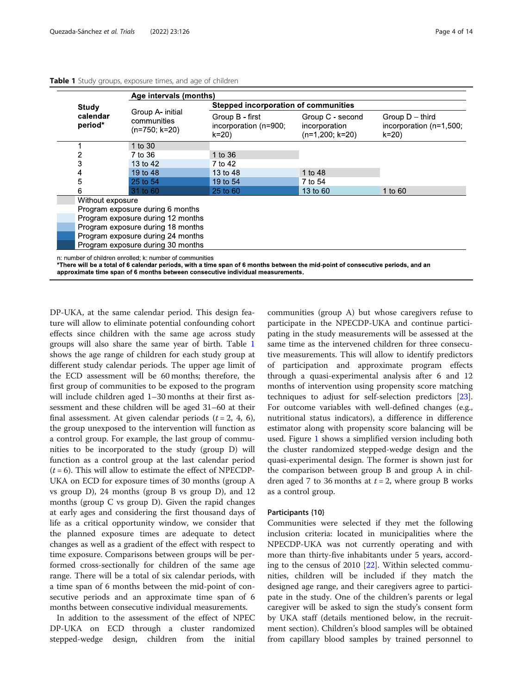| Group A- initial                  |                                                      |                                                          |                                                              |  |  |  |
|-----------------------------------|------------------------------------------------------|----------------------------------------------------------|--------------------------------------------------------------|--|--|--|
|                                   |                                                      | <b>Stepped incorporation of communities</b>              |                                                              |  |  |  |
| communities<br>$(n=750; k=20)$    | Group B - first<br>incorporation (n=900;<br>$k = 20$ | Group C - second<br>incorporation<br>$(n=1,200; k=20)$   | Group $D$ – third<br>incorporation $(n=1,500)$ ;<br>$k = 20$ |  |  |  |
| 1 to $30$                         |                                                      |                                                          |                                                              |  |  |  |
| 7 to 36                           | 1 to 36                                              |                                                          |                                                              |  |  |  |
| 13 to 42                          | 7 to 42                                              |                                                          |                                                              |  |  |  |
| 19 to 48                          | 13 to 48                                             | 1 to 48                                                  |                                                              |  |  |  |
| 25 to 54                          | 19 to 54                                             | 7 to 54                                                  |                                                              |  |  |  |
| 31 to 60                          | 25 to 60                                             | 13 to 60                                                 | 1 to 60                                                      |  |  |  |
| Without exposure                  |                                                      |                                                          |                                                              |  |  |  |
| Program exposure during 6 months  |                                                      |                                                          |                                                              |  |  |  |
| Program exposure during 12 months |                                                      |                                                          |                                                              |  |  |  |
| Program exposure during 18 months |                                                      |                                                          |                                                              |  |  |  |
| Program exposure during 24 months |                                                      |                                                          |                                                              |  |  |  |
| Program exposure during 30 months |                                                      |                                                          |                                                              |  |  |  |
|                                   |                                                      | n: number of children enrolled: k: number of communities |                                                              |  |  |  |

#### <span id="page-3-0"></span>Table 1 Study groups, exposure times, and age of children

\*There will be a total of 6 calendar periods, with a time span of 6 months between the mid-point of consecutive periods, and an approximate time span of 6 months between consecutive individual measurements.

DP-UKA, at the same calendar period. This design feature will allow to eliminate potential confounding cohort effects since children with the same age across study groups will also share the same year of birth. Table 1 shows the age range of children for each study group at different study calendar periods. The upper age limit of the ECD assessment will be 60 months; therefore, the first group of communities to be exposed to the program will include children aged 1–30 months at their first assessment and these children will be aged 31–60 at their final assessment. At given calendar periods  $(t = 2, 4, 6)$ , the group unexposed to the intervention will function as a control group. For example, the last group of communities to be incorporated to the study (group D) will function as a control group at the last calendar period  $(t = 6)$ . This will allow to estimate the effect of NPECDP-UKA on ECD for exposure times of 30 months (group A vs group D), 24 months (group B vs group D), and 12 months (group C vs group D). Given the rapid changes at early ages and considering the first thousand days of life as a critical opportunity window, we consider that the planned exposure times are adequate to detect changes as well as a gradient of the effect with respect to time exposure. Comparisons between groups will be performed cross-sectionally for children of the same age range. There will be a total of six calendar periods, with a time span of 6 months between the mid-point of consecutive periods and an approximate time span of 6 months between consecutive individual measurements.

In addition to the assessment of the effect of NPEC DP-UKA on ECD through a cluster randomized stepped-wedge design, children from the initial communities (group A) but whose caregivers refuse to participate in the NPECDP-UKA and continue participating in the study measurements will be assessed at the same time as the intervened children for three consecutive measurements. This will allow to identify predictors of participation and approximate program effects through a quasi-experimental analysis after 6 and 12 months of intervention using propensity score matching techniques to adjust for self-selection predictors [\[23](#page-13-0)]. For outcome variables with well-defined changes (e.g., nutritional status indicators), a difference in difference estimator along with propensity score balancing will be used. Figure [1](#page-4-0) shows a simplified version including both the cluster randomized stepped-wedge design and the quasi-experimental design. The former is shown just for the comparison between group B and group A in children aged 7 to 36 months at  $t = 2$ , where group B works as a control group.

#### Participants {10}

Communities were selected if they met the following inclusion criteria: located in municipalities where the NPECDP-UKA was not currently operating and with more than thirty-five inhabitants under 5 years, according to the census of 2010 [\[22\]](#page-13-0). Within selected communities, children will be included if they match the designed age range, and their caregivers agree to participate in the study. One of the children's parents or legal caregiver will be asked to sign the study's consent form by UKA staff (details mentioned below, in the recruitment section). Children's blood samples will be obtained from capillary blood samples by trained personnel to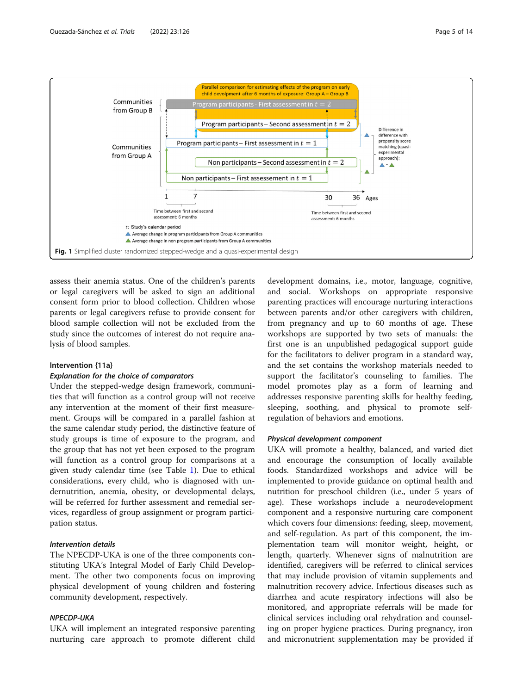<span id="page-4-0"></span>

assess their anemia status. One of the children's parents or legal caregivers will be asked to sign an additional consent form prior to blood collection. Children whose parents or legal caregivers refuse to provide consent for blood sample collection will not be excluded from the study since the outcomes of interest do not require analysis of blood samples.

#### Intervention {11a}

#### Explanation for the choice of comparators

Under the stepped-wedge design framework, communities that will function as a control group will not receive any intervention at the moment of their first measurement. Groups will be compared in a parallel fashion at the same calendar study period, the distinctive feature of study groups is time of exposure to the program, and the group that has not yet been exposed to the program will function as a control group for comparisons at a given study calendar time (see Table [1](#page-3-0)). Due to ethical considerations, every child, who is diagnosed with undernutrition, anemia, obesity, or developmental delays, will be referred for further assessment and remedial services, regardless of group assignment or program participation status.

## Intervention details

The NPECDP-UKA is one of the three components constituting UKA's Integral Model of Early Child Development. The other two components focus on improving physical development of young children and fostering community development, respectively.

## NPECDP-UKA

UKA will implement an integrated responsive parenting nurturing care approach to promote different child

development domains, i.e., motor, language, cognitive, and social. Workshops on appropriate responsive parenting practices will encourage nurturing interactions between parents and/or other caregivers with children, from pregnancy and up to 60 months of age. These workshops are supported by two sets of manuals: the first one is an unpublished pedagogical support guide for the facilitators to deliver program in a standard way, and the set contains the workshop materials needed to support the facilitator's counseling to families. The model promotes play as a form of learning and addresses responsive parenting skills for healthy feeding, sleeping, soothing, and physical to promote selfregulation of behaviors and emotions.

#### Physical development component

UKA will promote a healthy, balanced, and varied diet and encourage the consumption of locally available foods. Standardized workshops and advice will be implemented to provide guidance on optimal health and nutrition for preschool children (i.e., under 5 years of age). These workshops include a neurodevelopment component and a responsive nurturing care component which covers four dimensions: feeding, sleep, movement, and self-regulation. As part of this component, the implementation team will monitor weight, height, or length, quarterly. Whenever signs of malnutrition are identified, caregivers will be referred to clinical services that may include provision of vitamin supplements and malnutrition recovery advice. Infectious diseases such as diarrhea and acute respiratory infections will also be monitored, and appropriate referrals will be made for clinical services including oral rehydration and counseling on proper hygiene practices. During pregnancy, iron and micronutrient supplementation may be provided if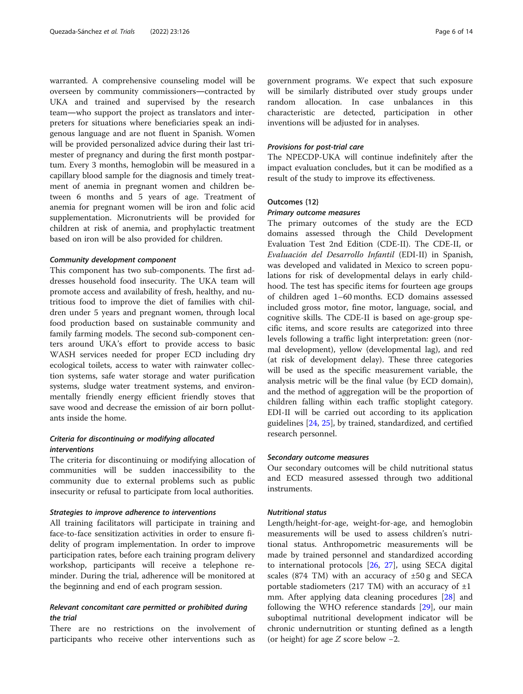warranted. A comprehensive counseling model will be overseen by community commissioners―contracted by UKA and trained and supervised by the research team―who support the project as translators and interpreters for situations where beneficiaries speak an indigenous language and are not fluent in Spanish. Women will be provided personalized advice during their last trimester of pregnancy and during the first month postpartum. Every 3 months, hemoglobin will be measured in a capillary blood sample for the diagnosis and timely treatment of anemia in pregnant women and children between 6 months and 5 years of age. Treatment of anemia for pregnant women will be iron and folic acid supplementation. Micronutrients will be provided for children at risk of anemia, and prophylactic treatment based on iron will be also provided for children.

#### Community development component

This component has two sub-components. The first addresses household food insecurity. The UKA team will promote access and availability of fresh, healthy, and nutritious food to improve the diet of families with children under 5 years and pregnant women, through local food production based on sustainable community and family farming models. The second sub-component centers around UKA's effort to provide access to basic WASH services needed for proper ECD including dry ecological toilets, access to water with rainwater collection systems, safe water storage and water purification systems, sludge water treatment systems, and environmentally friendly energy efficient friendly stoves that save wood and decrease the emission of air born pollutants inside the home.

## Criteria for discontinuing or modifying allocated interventions

The criteria for discontinuing or modifying allocation of communities will be sudden inaccessibility to the community due to external problems such as public insecurity or refusal to participate from local authorities.

#### Strategies to improve adherence to interventions

All training facilitators will participate in training and face-to-face sensitization activities in order to ensure fidelity of program implementation. In order to improve participation rates, before each training program delivery workshop, participants will receive a telephone reminder. During the trial, adherence will be monitored at the beginning and end of each program session.

## Relevant concomitant care permitted or prohibited during the trial

There are no restrictions on the involvement of participants who receive other interventions such as government programs. We expect that such exposure will be similarly distributed over study groups under random allocation. In case unbalances in this characteristic are detected, participation in other inventions will be adjusted for in analyses.

#### Provisions for post-trial care

The NPECDP-UKA will continue indefinitely after the impact evaluation concludes, but it can be modified as a result of the study to improve its effectiveness.

## Outcomes {12}

#### Primary outcome measures

The primary outcomes of the study are the ECD domains assessed through the Child Development Evaluation Test 2nd Edition (CDE-II). The CDE-II, or Evaluación del Desarrollo Infantil (EDI-II) in Spanish, was developed and validated in Mexico to screen populations for risk of developmental delays in early childhood. The test has specific items for fourteen age groups of children aged 1–60 months. ECD domains assessed included gross motor, fine motor, language, social, and cognitive skills. The CDE-II is based on age-group specific items, and score results are categorized into three levels following a traffic light interpretation: green (normal development), yellow (developmental lag), and red (at risk of development delay). These three categories will be used as the specific measurement variable, the analysis metric will be the final value (by ECD domain), and the method of aggregation will be the proportion of children falling within each traffic stoplight category. EDI-II will be carried out according to its application guidelines [[24](#page-13-0), [25](#page-13-0)], by trained, standardized, and certified research personnel.

#### Secondary outcome measures

Our secondary outcomes will be child nutritional status and ECD measured assessed through two additional instruments.

#### Nutritional status

Length/height-for-age, weight-for-age, and hemoglobin measurements will be used to assess children's nutritional status. Anthropometric measurements will be made by trained personnel and standardized according to international protocols [\[26,](#page-13-0) [27\]](#page-13-0), using SECA digital scales (874 TM) with an accuracy of  $\pm 50$  g and SECA portable stadiometers (217 TM) with an accuracy of  $\pm 1$ mm. After applying data cleaning procedures [[28\]](#page-13-0) and following the WHO reference standards [[29](#page-13-0)], our main suboptimal nutritional development indicator will be chronic undernutrition or stunting defined as a length (or height) for age Z score below −2.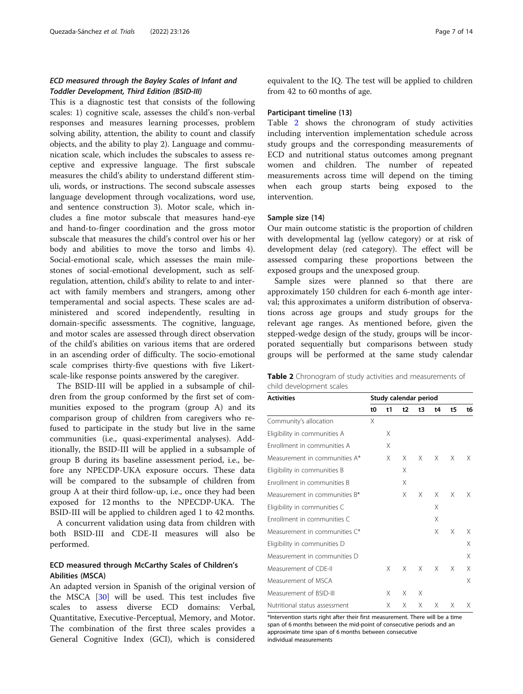## ECD measured through the Bayley Scales of Infant and Toddler Development, Third Edition (BSID-III)

This is a diagnostic test that consists of the following scales: 1) cognitive scale, assesses the child's non-verbal responses and measures learning processes, problem solving ability, attention, the ability to count and classify objects, and the ability to play 2). Language and communication scale, which includes the subscales to assess receptive and expressive language. The first subscale measures the child's ability to understand different stimuli, words, or instructions. The second subscale assesses language development through vocalizations, word use, and sentence construction 3). Motor scale, which includes a fine motor subscale that measures hand-eye and hand-to-finger coordination and the gross motor subscale that measures the child's control over his or her body and abilities to move the torso and limbs 4). Social-emotional scale, which assesses the main milestones of social-emotional development, such as selfregulation, attention, child's ability to relate to and interact with family members and strangers, among other temperamental and social aspects. These scales are administered and scored independently, resulting in domain-specific assessments. The cognitive, language, and motor scales are assessed through direct observation of the child's abilities on various items that are ordered in an ascending order of difficulty. The socio-emotional scale comprises thirty-five questions with five Likertscale-like response points answered by the caregiver.

The BSID-III will be applied in a subsample of children from the group conformed by the first set of communities exposed to the program (group A) and its comparison group of children from caregivers who refused to participate in the study but live in the same communities (i.e., quasi-experimental analyses). Additionally, the BSID-III will be applied in a subsample of group B during its baseline assessment period, i.e., before any NPECDP-UKA exposure occurs. These data will be compared to the subsample of children from group A at their third follow-up, i.e., once they had been exposed for 12 months to the NPECDP-UKA. The BSID-III will be applied to children aged 1 to 42 months.

A concurrent validation using data from children with both BSID-III and CDE-II measures will also be performed.

## ECD measured through McCarthy Scales of Children's Abilities (MSCA)

An adapted version in Spanish of the original version of the MSCA [[30\]](#page-13-0) will be used. This test includes five scales to assess diverse ECD domains: Verbal, Quantitative, Executive-Perceptual, Memory, and Motor. The combination of the first three scales provides a General Cognitive Index (GCI), which is considered

equivalent to the IQ. The test will be applied to children from 42 to 60 months of age.

#### Participant timeline {13}

Table 2 shows the chronogram of study activities including intervention implementation schedule across study groups and the corresponding measurements of ECD and nutritional status outcomes among pregnant women and children. The number of repeated measurements across time will depend on the timing when each group starts being exposed to the intervention.

#### Sample size {14}

Our main outcome statistic is the proportion of children with developmental lag (yellow category) or at risk of development delay (red category). The effect will be assessed comparing these proportions between the exposed groups and the unexposed group.

Sample sizes were planned so that there are approximately 150 children for each 6-month age interval; this approximates a uniform distribution of observations across age groups and study groups for the relevant age ranges. As mentioned before, given the stepped-wedge design of the study, groups will be incorporated sequentially but comparisons between study groups will be performed at the same study calendar

|                          |  | Table 2 Chronogram of study activities and measurements of |  |
|--------------------------|--|------------------------------------------------------------|--|
| child development scales |  |                                                            |  |

| <b>Activities</b>             |    | Study calendar period |    |    |    |    |    |
|-------------------------------|----|-----------------------|----|----|----|----|----|
|                               | t0 | t1                    | t2 | t3 | t4 | t5 | t6 |
| Community's allocation        | X  |                       |    |    |    |    |    |
| Eligibility in communities A  |    | X                     |    |    |    |    |    |
| Enrollment in communities A   |    | X                     |    |    |    |    |    |
| Measurement in communities A* |    | X                     | X  | X  | X  | Χ  | X  |
| Eligibility in communities B  |    |                       | X  |    |    |    |    |
| Enrollment in communities B   |    |                       | X  |    |    |    |    |
| Measurement in communities B* |    |                       | Χ  | X  | X  | X  | Χ  |
| Eligibility in communities C  |    |                       |    |    | Χ  |    |    |
| Enrollment in communities C   |    |                       |    |    | Χ  |    |    |
| Measurement in communities C* |    |                       |    |    | Χ  | X  | X  |
| Eligibility in communities D  |    |                       |    |    |    |    | Χ  |
| Measurement in communities D  |    |                       |    |    |    |    | Χ  |
| Measurement of CDE-II         |    | X                     | X  | X  | X  | X  | Χ  |
| Measurement of MSCA           |    |                       |    |    |    |    | X  |
| Measurement of BSID-III       |    | X                     | X  | Χ  |    |    |    |
| Nutritional status assessment |    | Χ                     | X  | Χ  | X  | X  | X  |

\*Intervention starts right after their first measurement. There will be a time span of 6 months between the mid-point of consecutive periods and an approximate time span of 6 months between consecutive individual measurements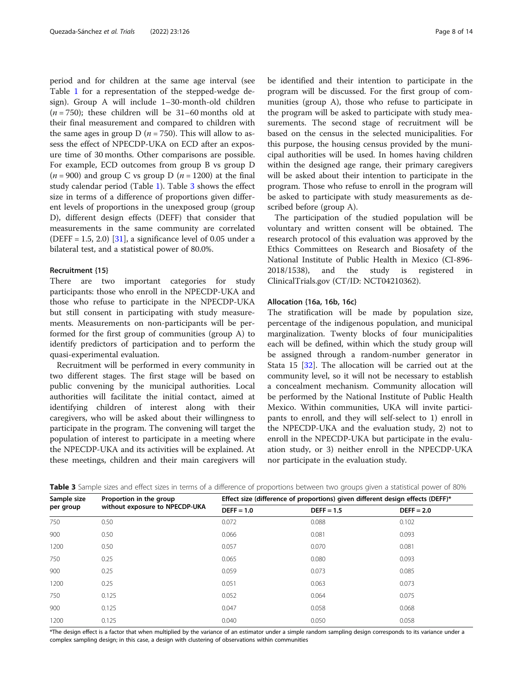period and for children at the same age interval (see Table [1](#page-3-0) for a representation of the stepped-wedge design). Group A will include 1–30-month-old children  $(n = 750)$ ; these children will be 31–60 months old at their final measurement and compared to children with the same ages in group D ( $n = 750$ ). This will allow to assess the effect of NPECDP-UKA on ECD after an exposure time of 30 months. Other comparisons are possible. For example, ECD outcomes from group B vs group D  $(n = 900)$  and group C vs group D  $(n = 1200)$  at the final study calendar period (Table [1](#page-3-0)). Table 3 shows the effect size in terms of a difference of proportions given different levels of proportions in the unexposed group (group D), different design effects (DEFF) that consider that measurements in the same community are correlated (DEFF =  $1.5$ ,  $2.0$ )  $[31]$  $[31]$ , a significance level of 0.05 under a bilateral test, and a statistical power of 80.0%.

#### Recruitment {15}

There are two important categories for study participants: those who enroll in the NPECDP-UKA and those who refuse to participate in the NPECDP-UKA but still consent in participating with study measurements. Measurements on non-participants will be performed for the first group of communities (group A) to identify predictors of participation and to perform the quasi-experimental evaluation.

Recruitment will be performed in every community in two different stages. The first stage will be based on public convening by the municipal authorities. Local authorities will facilitate the initial contact, aimed at identifying children of interest along with their caregivers, who will be asked about their willingness to participate in the program. The convening will target the population of interest to participate in a meeting where the NPECDP-UKA and its activities will be explained. At these meetings, children and their main caregivers will be identified and their intention to participate in the program will be discussed. For the first group of communities (group A), those who refuse to participate in the program will be asked to participate with study measurements. The second stage of recruitment will be based on the census in the selected municipalities. For this purpose, the housing census provided by the municipal authorities will be used. In homes having children within the designed age range, their primary caregivers will be asked about their intention to participate in the program. Those who refuse to enroll in the program will be asked to participate with study measurements as described before (group A).

The participation of the studied population will be voluntary and written consent will be obtained. The research protocol of this evaluation was approved by the Ethics Committees on Research and Biosafety of the National Institute of Public Health in Mexico (CI-896- 2018/1538), and the study is registered in ClinicalTrials.gov (CT/ID: NCT04210362).

## Allocation {16a, 16b, 16c}

The stratification will be made by population size, percentage of the indigenous population, and municipal marginalization. Twenty blocks of four municipalities each will be defined, within which the study group will be assigned through a random-number generator in Stata 15 [[32](#page-13-0)]. The allocation will be carried out at the community level, so it will not be necessary to establish a concealment mechanism. Community allocation will be performed by the National Institute of Public Health Mexico. Within communities, UKA will invite participants to enroll, and they will self-select to 1) enroll in the NPECDP-UKA and the evaluation study, 2) not to enroll in the NPECDP-UKA but participate in the evaluation study, or 3) neither enroll in the NPECDP-UKA nor participate in the evaluation study.

| Sample size<br>per group | Proportion in the group<br>without exposure to NPECDP-UKA | Effect size (difference of proportions) given different design effects (DEFF)* |              |              |  |  |
|--------------------------|-----------------------------------------------------------|--------------------------------------------------------------------------------|--------------|--------------|--|--|
|                          |                                                           | $DEFF = 1.0$                                                                   | $DEFF = 1.5$ | $DEFF = 2.0$ |  |  |
| 750                      | 0.50                                                      | 0.072                                                                          | 0.088        | 0.102        |  |  |
| 900                      | 0.50                                                      | 0.066                                                                          | 0.081        | 0.093        |  |  |
| 1200                     | 0.50                                                      | 0.057                                                                          | 0.070        | 0.081        |  |  |
| 750                      | 0.25                                                      | 0.065                                                                          | 0.080        | 0.093        |  |  |
| 900                      | 0.25                                                      | 0.059                                                                          | 0.073        | 0.085        |  |  |
| 1200                     | 0.25                                                      | 0.051                                                                          | 0.063        | 0.073        |  |  |
| 750                      | 0.125                                                     | 0.052                                                                          | 0.064        | 0.075        |  |  |
| 900                      | 0.125                                                     | 0.047                                                                          | 0.058        | 0.068        |  |  |
| 1200                     | 0.125                                                     | 0.040                                                                          | 0.050        | 0.058        |  |  |

Table 3 Sample sizes and effect sizes in terms of a difference of proportions between two groups given a statistical power of 80%

\*The design effect is a factor that when multiplied by the variance of an estimator under a simple random sampling design corresponds to its variance under a complex sampling design; in this case, a design with clustering of observations within communities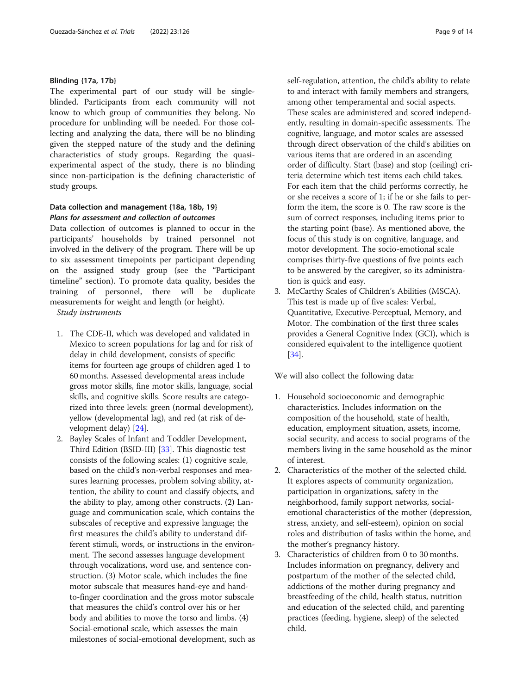## Blinding {17a, 17b}

The experimental part of our study will be singleblinded. Participants from each community will not know to which group of communities they belong. No procedure for unblinding will be needed. For those collecting and analyzing the data, there will be no blinding given the stepped nature of the study and the defining characteristics of study groups. Regarding the quasiexperimental aspect of the study, there is no blinding since non-participation is the defining characteristic of study groups.

## Data collection and management {18a, 18b, 19} Plans for assessment and collection of outcomes

Data collection of outcomes is planned to occur in the participants' households by trained personnel not involved in the delivery of the program. There will be up to six assessment timepoints per participant depending on the assigned study group (see the "Participant timeline" section). To promote data quality, besides the training of personnel, there will be duplicate measurements for weight and length (or height).

Study instruments

- 1. The CDE-II, which was developed and validated in Mexico to screen populations for lag and for risk of delay in child development, consists of specific items for fourteen age groups of children aged 1 to 60 months. Assessed developmental areas include gross motor skills, fine motor skills, language, social skills, and cognitive skills. Score results are categorized into three levels: green (normal development), yellow (developmental lag), and red (at risk of development delay) [\[24\]](#page-13-0).
- 2. Bayley Scales of Infant and Toddler Development, Third Edition (BSID-III) [[33](#page-13-0)]. This diagnostic test consists of the following scales: (1) cognitive scale, based on the child's non-verbal responses and measures learning processes, problem solving ability, attention, the ability to count and classify objects, and the ability to play, among other constructs. (2) Language and communication scale, which contains the subscales of receptive and expressive language; the first measures the child's ability to understand different stimuli, words, or instructions in the environment. The second assesses language development through vocalizations, word use, and sentence construction. (3) Motor scale, which includes the fine motor subscale that measures hand-eye and handto-finger coordination and the gross motor subscale that measures the child's control over his or her body and abilities to move the torso and limbs. (4) Social-emotional scale, which assesses the main milestones of social-emotional development, such as

self-regulation, attention, the child's ability to relate to and interact with family members and strangers, among other temperamental and social aspects. These scales are administered and scored independently, resulting in domain-specific assessments. The cognitive, language, and motor scales are assessed through direct observation of the child's abilities on various items that are ordered in an ascending order of difficulty. Start (base) and stop (ceiling) criteria determine which test items each child takes. For each item that the child performs correctly, he or she receives a score of 1; if he or she fails to perform the item, the score is 0. The raw score is the sum of correct responses, including items prior to the starting point (base). As mentioned above, the focus of this study is on cognitive, language, and motor development. The socio-emotional scale comprises thirty-five questions of five points each to be answered by the caregiver, so its administration is quick and easy.

3. McCarthy Scales of Children's Abilities (MSCA). This test is made up of five scales: Verbal, Quantitative, Executive-Perceptual, Memory, and Motor. The combination of the first three scales provides a General Cognitive Index (GCI), which is considered equivalent to the intelligence quotient [[34](#page-13-0)].

We will also collect the following data:

- 1. Household socioeconomic and demographic characteristics. Includes information on the composition of the household, state of health, education, employment situation, assets, income, social security, and access to social programs of the members living in the same household as the minor of interest.
- 2. Characteristics of the mother of the selected child. It explores aspects of community organization, participation in organizations, safety in the neighborhood, family support networks, socialemotional characteristics of the mother (depression, stress, anxiety, and self-esteem), opinion on social roles and distribution of tasks within the home, and the mother's pregnancy history.
- 3. Characteristics of children from 0 to 30 months. Includes information on pregnancy, delivery and postpartum of the mother of the selected child, addictions of the mother during pregnancy and breastfeeding of the child, health status, nutrition and education of the selected child, and parenting practices (feeding, hygiene, sleep) of the selected child.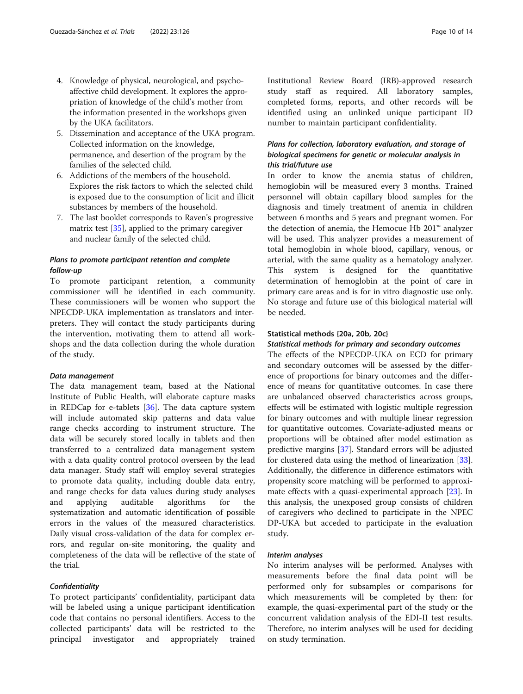- 4. Knowledge of physical, neurological, and psychoaffective child development. It explores the appropriation of knowledge of the child's mother from the information presented in the workshops given by the UKA facilitators.
- 5. Dissemination and acceptance of the UKA program. Collected information on the knowledge, permanence, and desertion of the program by the families of the selected child.
- 6. Addictions of the members of the household. Explores the risk factors to which the selected child is exposed due to the consumption of licit and illicit substances by members of the household.
- 7. The last booklet corresponds to Raven's progressive matrix test  $[35]$ , applied to the primary caregiver and nuclear family of the selected child.

## Plans to promote participant retention and complete follow-up

To promote participant retention, a community commissioner will be identified in each community. These commissioners will be women who support the NPECDP-UKA implementation as translators and interpreters. They will contact the study participants during the intervention, motivating them to attend all workshops and the data collection during the whole duration of the study.

## Data management

The data management team, based at the National Institute of Public Health, will elaborate capture masks in REDCap for e-tablets [\[36](#page-13-0)]. The data capture system will include automated skip patterns and data value range checks according to instrument structure. The data will be securely stored locally in tablets and then transferred to a centralized data management system with a data quality control protocol overseen by the lead data manager. Study staff will employ several strategies to promote data quality, including double data entry, and range checks for data values during study analyses and applying auditable algorithms for the systematization and automatic identification of possible errors in the values of the measured characteristics. Daily visual cross-validation of the data for complex errors, and regular on-site monitoring, the quality and completeness of the data will be reflective of the state of the trial.

#### **Confidentiality**

To protect participants' confidentiality, participant data will be labeled using a unique participant identification code that contains no personal identifiers. Access to the collected participants' data will be restricted to the principal investigator and appropriately trained Institutional Review Board (IRB)-approved research study staff as required. All laboratory samples, completed forms, reports, and other records will be identified using an unlinked unique participant ID number to maintain participant confidentiality.

## Plans for collection, laboratory evaluation, and storage of biological specimens for genetic or molecular analysis in this trial/future use

In order to know the anemia status of children, hemoglobin will be measured every 3 months. Trained personnel will obtain capillary blood samples for the diagnosis and timely treatment of anemia in children between 6 months and 5 years and pregnant women. For the detection of anemia, the Hemocue Hb 201™ analyzer will be used. This analyzer provides a measurement of total hemoglobin in whole blood, capillary, venous, or arterial, with the same quality as a hematology analyzer. This system is designed for the quantitative determination of hemoglobin at the point of care in primary care areas and is for in vitro diagnostic use only. No storage and future use of this biological material will be needed.

#### Statistical methods {20a, 20b, 20c}

#### Statistical methods for primary and secondary outcomes

The effects of the NPECDP-UKA on ECD for primary and secondary outcomes will be assessed by the difference of proportions for binary outcomes and the difference of means for quantitative outcomes. In case there are unbalanced observed characteristics across groups, effects will be estimated with logistic multiple regression for binary outcomes and with multiple linear regression for quantitative outcomes. Covariate-adjusted means or proportions will be obtained after model estimation as predictive margins [[37](#page-13-0)]. Standard errors will be adjusted for clustered data using the method of linearization [\[33](#page-13-0)]. Additionally, the difference in difference estimators with propensity score matching will be performed to approximate effects with a quasi-experimental approach [\[23](#page-13-0)]. In this analysis, the unexposed group consists of children of caregivers who declined to participate in the NPEC DP-UKA but acceded to participate in the evaluation study.

#### Interim analyses

No interim analyses will be performed. Analyses with measurements before the final data point will be performed only for subsamples or comparisons for which measurements will be completed by then: for example, the quasi-experimental part of the study or the concurrent validation analysis of the EDI-II test results. Therefore, no interim analyses will be used for deciding on study termination.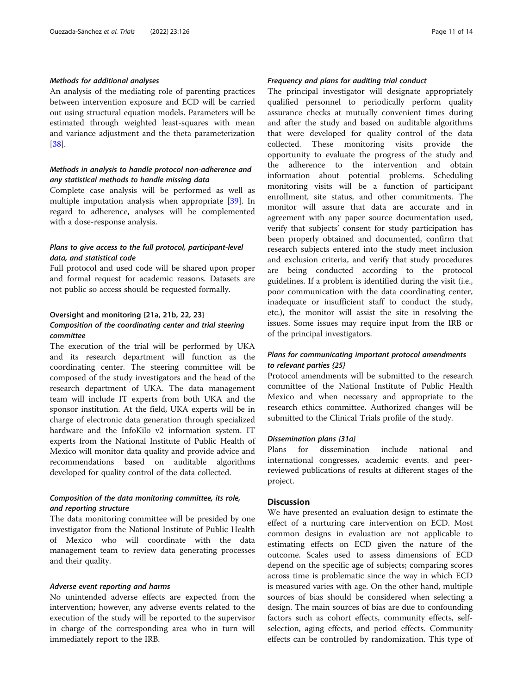#### Methods for additional analyses

An analysis of the mediating role of parenting practices between intervention exposure and ECD will be carried out using structural equation models. Parameters will be estimated through weighted least-squares with mean and variance adjustment and the theta parameterization [[38\]](#page-13-0).

## Methods in analysis to handle protocol non-adherence and any statistical methods to handle missing data

Complete case analysis will be performed as well as multiple imputation analysis when appropriate [\[39\]](#page-13-0). In regard to adherence, analyses will be complemented with a dose-response analysis.

## Plans to give access to the full protocol, participant-level data, and statistical code

Full protocol and used code will be shared upon proper and formal request for academic reasons. Datasets are not public so access should be requested formally.

## Oversight and monitoring {21a, 21b, 22, 23} Composition of the coordinating center and trial steering committee

The execution of the trial will be performed by UKA and its research department will function as the coordinating center. The steering committee will be composed of the study investigators and the head of the research department of UKA. The data management team will include IT experts from both UKA and the sponsor institution. At the field, UKA experts will be in charge of electronic data generation through specialized hardware and the InfoKilo v2 information system. IT experts from the National Institute of Public Health of Mexico will monitor data quality and provide advice and recommendations based on auditable algorithms developed for quality control of the data collected.

## Composition of the data monitoring committee, its role, and reporting structure

The data monitoring committee will be presided by one investigator from the National Institute of Public Health of Mexico who will coordinate with the data management team to review data generating processes and their quality.

#### Adverse event reporting and harms

No unintended adverse effects are expected from the intervention; however, any adverse events related to the execution of the study will be reported to the supervisor in charge of the corresponding area who in turn will immediately report to the IRB.

## Frequency and plans for auditing trial conduct

The principal investigator will designate appropriately qualified personnel to periodically perform quality assurance checks at mutually convenient times during and after the study and based on auditable algorithms that were developed for quality control of the data collected. These monitoring visits provide the opportunity to evaluate the progress of the study and the adherence to the intervention and obtain information about potential problems. Scheduling monitoring visits will be a function of participant enrollment, site status, and other commitments. The monitor will assure that data are accurate and in agreement with any paper source documentation used, verify that subjects' consent for study participation has been properly obtained and documented, confirm that research subjects entered into the study meet inclusion and exclusion criteria, and verify that study procedures are being conducted according to the protocol guidelines. If a problem is identified during the visit (i.e., poor communication with the data coordinating center, inadequate or insufficient staff to conduct the study, etc.), the monitor will assist the site in resolving the issues. Some issues may require input from the IRB or of the principal investigators.

## Plans for communicating important protocol amendments to relevant parties {25}

Protocol amendments will be submitted to the research committee of the National Institute of Public Health Mexico and when necessary and appropriate to the research ethics committee. Authorized changes will be submitted to the Clinical Trials profile of the study.

#### Dissemination plans {31a}

Plans for dissemination include national and international congresses, academic events. and peerreviewed publications of results at different stages of the project.

## **Discussion**

We have presented an evaluation design to estimate the effect of a nurturing care intervention on ECD. Most common designs in evaluation are not applicable to estimating effects on ECD given the nature of the outcome. Scales used to assess dimensions of ECD depend on the specific age of subjects; comparing scores across time is problematic since the way in which ECD is measured varies with age. On the other hand, multiple sources of bias should be considered when selecting a design. The main sources of bias are due to confounding factors such as cohort effects, community effects, selfselection, aging effects, and period effects. Community effects can be controlled by randomization. This type of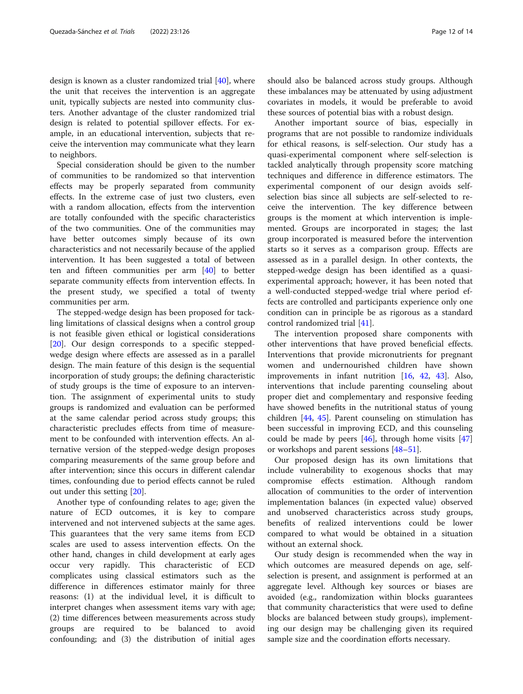design is known as a cluster randomized trial [[40\]](#page-13-0), where the unit that receives the intervention is an aggregate unit, typically subjects are nested into community clusters. Another advantage of the cluster randomized trial design is related to potential spillover effects. For example, in an educational intervention, subjects that receive the intervention may communicate what they learn to neighbors.

Special consideration should be given to the number of communities to be randomized so that intervention effects may be properly separated from community effects. In the extreme case of just two clusters, even with a random allocation, effects from the intervention are totally confounded with the specific characteristics of the two communities. One of the communities may have better outcomes simply because of its own characteristics and not necessarily because of the applied intervention. It has been suggested a total of between ten and fifteen communities per arm [\[40\]](#page-13-0) to better separate community effects from intervention effects. In the present study, we specified a total of twenty communities per arm.

The stepped-wedge design has been proposed for tackling limitations of classical designs when a control group is not feasible given ethical or logistical considerations [[20\]](#page-13-0). Our design corresponds to a specific steppedwedge design where effects are assessed as in a parallel design. The main feature of this design is the sequential incorporation of study groups; the defining characteristic of study groups is the time of exposure to an intervention. The assignment of experimental units to study groups is randomized and evaluation can be performed at the same calendar period across study groups; this characteristic precludes effects from time of measurement to be confounded with intervention effects. An alternative version of the stepped-wedge design proposes comparing measurements of the same group before and after intervention; since this occurs in different calendar times, confounding due to period effects cannot be ruled out under this setting [\[20](#page-13-0)].

Another type of confounding relates to age; given the nature of ECD outcomes, it is key to compare intervened and not intervened subjects at the same ages. This guarantees that the very same items from ECD scales are used to assess intervention effects. On the other hand, changes in child development at early ages occur very rapidly. This characteristic of ECD complicates using classical estimators such as the difference in differences estimator mainly for three reasons: (1) at the individual level, it is difficult to interpret changes when assessment items vary with age; (2) time differences between measurements across study groups are required to be balanced to avoid confounding; and (3) the distribution of initial ages should also be balanced across study groups. Although these imbalances may be attenuated by using adjustment covariates in models, it would be preferable to avoid these sources of potential bias with a robust design.

Another important source of bias, especially in programs that are not possible to randomize individuals for ethical reasons, is self-selection. Our study has a quasi-experimental component where self-selection is tackled analytically through propensity score matching techniques and difference in difference estimators. The experimental component of our design avoids selfselection bias since all subjects are self-selected to receive the intervention. The key difference between groups is the moment at which intervention is implemented. Groups are incorporated in stages; the last group incorporated is measured before the intervention starts so it serves as a comparison group. Effects are assessed as in a parallel design. In other contexts, the stepped-wedge design has been identified as a quasiexperimental approach; however, it has been noted that a well-conducted stepped-wedge trial where period effects are controlled and participants experience only one condition can in principle be as rigorous as a standard control randomized trial [\[41\]](#page-13-0).

The intervention proposed share components with other interventions that have proved beneficial effects. Interventions that provide micronutrients for pregnant women and undernourished children have shown improvements in infant nutrition [[16,](#page-13-0) [42](#page-13-0), [43](#page-13-0)]. Also, interventions that include parenting counseling about proper diet and complementary and responsive feeding have showed benefits in the nutritional status of young children [[44](#page-13-0), [45\]](#page-13-0). Parent counseling on stimulation has been successful in improving ECD, and this counseling could be made by peers  $[46]$  $[46]$ , through home visits  $[47]$  $[47]$  $[47]$ or workshops and parent sessions [\[48](#page-13-0)–[51\]](#page-13-0).

Our proposed design has its own limitations that include vulnerability to exogenous shocks that may compromise effects estimation. Although random allocation of communities to the order of intervention implementation balances (in expected value) observed and unobserved characteristics across study groups, benefits of realized interventions could be lower compared to what would be obtained in a situation without an external shock.

Our study design is recommended when the way in which outcomes are measured depends on age, selfselection is present, and assignment is performed at an aggregate level. Although key sources or biases are avoided (e.g., randomization within blocks guarantees that community characteristics that were used to define blocks are balanced between study groups), implementing our design may be challenging given its required sample size and the coordination efforts necessary.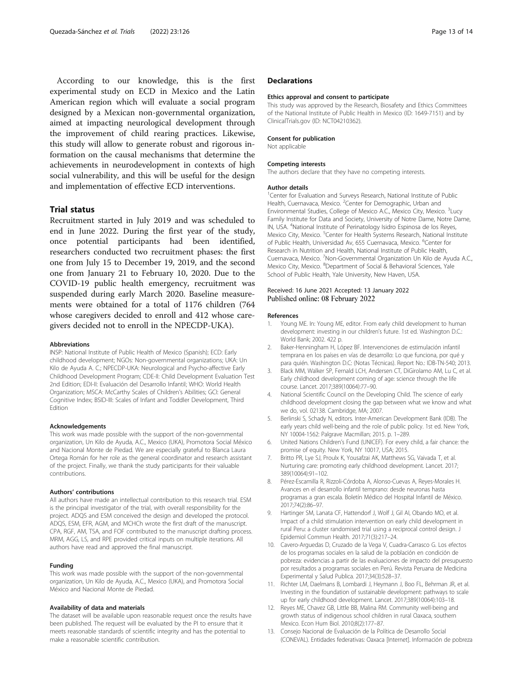<span id="page-12-0"></span>According to our knowledge, this is the first experimental study on ECD in Mexico and the Latin American region which will evaluate a social program designed by a Mexican non-governmental organization, aimed at impacting neurological development through the improvement of child rearing practices. Likewise, this study will allow to generate robust and rigorous information on the causal mechanisms that determine the achievements in neurodevelopment in contexts of high social vulnerability, and this will be useful for the design and implementation of effective ECD interventions.

## Trial status

Recruitment started in July 2019 and was scheduled to end in June 2022. During the first year of the study, once potential participants had been identified, researchers conducted two recruitment phases: the first one from July 15 to December 19, 2019, and the second one from January 21 to February 10, 2020. Due to the COVID-19 public health emergency, recruitment was suspended during early March 2020. Baseline measurements were obtained for a total of 1176 children (764 whose caregivers decided to enroll and 412 whose caregivers decided not to enroll in the NPECDP-UKA).

#### Abbreviations

INSP: National Institute of Public Health of Mexico (Spanish); ECD: Early childhood development; NGOs: Non-governmental organizations; UKA: Un Kilo de Ayuda A. C.; NPECDP-UKA: Neurological and Psycho-affective Early Childhood Development Program; CDE-II: Child Development Evaluation Test 2nd Edition; EDI-II: Evaluación del Desarrollo Infantil; WHO: World Health Organization; MSCA: McCarthy Scales of Children's Abilities; GCI: General Cognitive Index; BSID-III: Scales of Infant and Toddler Development, Third Edition

#### Acknowledgements

This work was made possible with the support of the non-governmental organization, Un Kilo de Ayuda, A.C., Mexico (UKA), Promotora Social México and Nacional Monte de Piedad. We are especially grateful to Blanca Laura Ortega Román for her role as the general coordinator and research assistant of the project. Finally, we thank the study participants for their valuable contributions.

#### Authors' contributions

All authors have made an intellectual contribution to this research trial. ESM is the principal investigator of the trial, with overall responsibility for the project. ADQS and ESM conceived the design and developed the protocol. ADQS, ESM, EFR, AGM, and MCHCh wrote the first draft of the manuscript. CPA, RGF, AM, TSA, and FOF contributed to the manuscript drafting process. MRM, AGG, LS, and RPE provided critical inputs on multiple iterations. All authors have read and approved the final manuscript.

#### Funding

This work was made possible with the support of the non-governmental organization, Un Kilo de Ayuda, A.C., Mexico (UKA), and Promotora Social México and Nacional Monte de Piedad.

#### Availability of data and materials

The dataset will be available upon reasonable request once the results have been published. The request will be evaluated by the PI to ensure that it meets reasonable standards of scientific integrity and has the potential to make a reasonable scientific contribution.

## **Declarations**

#### Ethics approval and consent to participate

This study was approved by the Research, Biosafety and Ethics Committees of the National Institute of Public Health in Mexico (ID: 1649-7151) and by ClinicalTrials.gov (ID: NCT04210362).

#### Consent for publication

Not applicable

#### Competing interests

The authors declare that they have no competing interests.

#### Author details

<sup>1</sup> Center for Evaluation and Surveys Research, National Institute of Public Health, Cuernavaca, Mexico. <sup>2</sup>Center for Demographic, Urban and Environmental Studies, College of Mexico A.C., Mexico City, Mexico. <sup>3</sup>Lucy Family Institute for Data and Society, University of Notre Dame, Notre Dame, IN, USA. <sup>4</sup> National Institute of Perinatology Isidro Espinosa de los Reyes, Mexico City, Mexico. <sup>5</sup>Center for Health Systems Research, National Institute of Public Health, Universidad Av, 655 Cuernavaca, Mexico. <sup>6</sup>Center for Research in Nutrition and Health, National Institute of Public Health, Cuernavaca, Mexico. 7Non-Governmental Organization Un Kilo de Ayuda A.C. Mexico City, Mexico. <sup>8</sup>Department of Social & Behavioral Sciences, Yale School of Public Health, Yale University, New Haven, USA.

#### Received: 16 June 2021 Accepted: 13 January 2022 Published online: 08 February 2022

#### References

- 1. Young ME. In: Young ME, editor. From early child development to human development: investing in our children's future. 1st ed. Washington D.C.: World Bank; 2002. 422 p.
- 2. Baker-Henningham H, López BF. Intervenciones de estimulación infantil temprana en los países en vías de desarrollo: Lo que funciona, por qué y para quién. Washington D.C: (Notas Técnicas). Report No.: IDB-TN-540; 2013.
- 3. Black MM, Walker SP, Fernald LCH, Andersen CT, DiGirolamo AM, Lu C, et al. Early childhood development coming of age: science through the life course. Lancet. 2017;389(10064):77–90.
- 4. National Scientific Council on the Developing Child. The science of early childhood development closing the gap between what we know and what we do, vol. 02138. Cambridge, MA; 2007.
- 5. Berlinski S, Schady N, editors. Inter-American Development Bank (IDB). The early years child well-being and the role of public policy. 1st ed. New York, NY 10004-1562: Palgrave Macmillan; 2015. p. 1–289.
- 6. United Nations Children's Fund (UNICEF). For every child, a fair chance: the promise of equity. New York, NY 10017, USA; 2015.
- Britto PR, Lye SJ, Proulx K, Yousafzai AK, Matthews SG, Vaivada T, et al. Nurturing care: promoting early childhood development. Lancet. 2017; 389(10064):91–102.
- 8. Pérez-Escamilla R, Rizzoli-Córdoba A, Alonso-Cuevas A, Reyes-Morales H. Avances en el desarrollo infantil temprano: desde neuronas hasta programas a gran escala. Boletín Médico del Hospital Infantil de México. 2017;74(2):86–97.
- Hartinger SM, Lanata CF, Hattendorf J, Wolf J, Gil AI, Obando MO, et al. Impact of a child stimulation intervention on early child development in rural Peru: a cluster randomised trial using a reciprocal control design. J Epidemiol Commun Health. 2017;71(3):217–24.
- 10. Cavero-Arguedas D, Cruzado de la Vega V, Cuadra-Carrasco G. Los efectos de los programas sociales en la salud de la población en condición de pobreza: evidencias a partir de las evaluaciones de impacto del presupuesto por resultados a programas sociales en Perú. Revista Peruana de Medicina Experimental y Salud Publica. 2017;34(3):528–37.
- 11. Richter LM, Daelmans B, Lombardi J, Heymann J, Boo FL, Behrman JR, et al. Investing in the foundation of sustainable development: pathways to scale up for early childhood development. Lancet. 2017;389(10064):103–18.
- 12. Reyes ME, Chavez GB, Little BB, Malina RM. Community well-being and growth status of indigenous school children in rural Oaxaca, southern Mexico. Econ Hum Biol. 2010;8(2):177–87.
- 13. Consejo Nacional de Evaluación de la Política de Desarrollo Social (CONEVAL). Entidades federativas: Oaxaca [Internet]. Información de pobreza